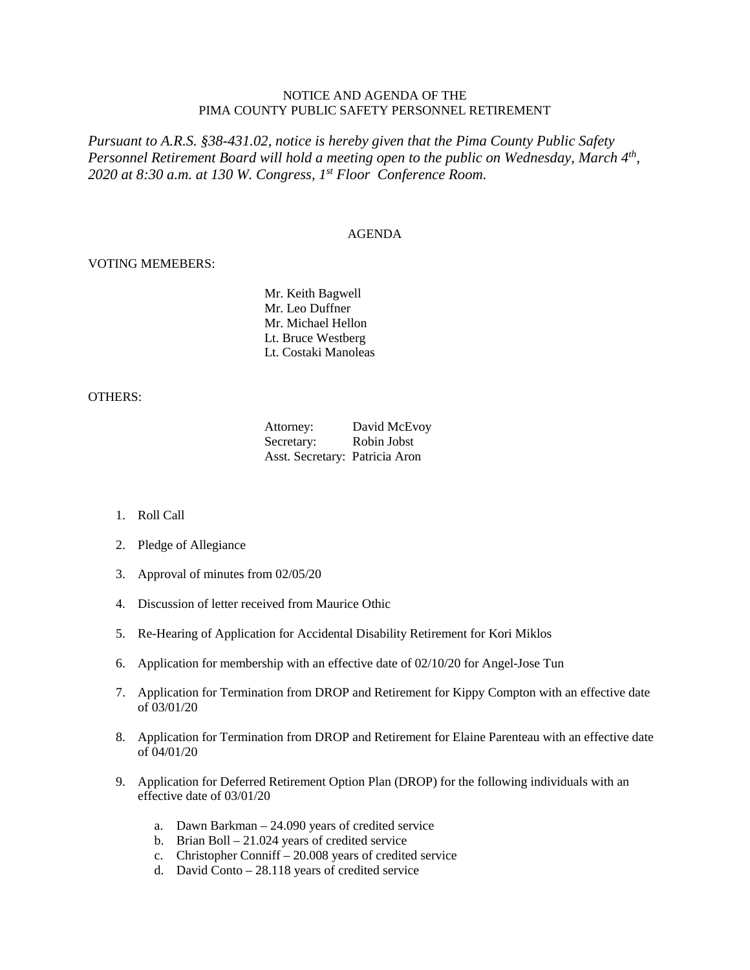## NOTICE AND AGENDA OF THE PIMA COUNTY PUBLIC SAFETY PERSONNEL RETIREMENT

*Pursuant to A.R.S. §38-431.02, notice is hereby given that the Pima County Public Safety Personnel Retirement Board will hold a meeting open to the public on Wednesday, March 4th, 2020 at 8:30 a.m. at 130 W. Congress, 1st Floor Conference Room.*

## AGENDA

## VOTING MEMEBERS:

Mr. Keith Bagwell Mr. Leo Duffner Mr. Michael Hellon Lt. Bruce Westberg Lt. Costaki Manoleas

## OTHERS:

| Attorney:                      | David McEvoy |
|--------------------------------|--------------|
| Secretary:                     | Robin Jobst  |
| Asst. Secretary: Patricia Aron |              |

- 1. Roll Call
- 2. Pledge of Allegiance
- 3. Approval of minutes from 02/05/20
- 4. Discussion of letter received from Maurice Othic
- 5. Re-Hearing of Application for Accidental Disability Retirement for Kori Miklos
- 6. Application for membership with an effective date of 02/10/20 for Angel-Jose Tun
- 7. Application for Termination from DROP and Retirement for Kippy Compton with an effective date of 03/01/20
- 8. Application for Termination from DROP and Retirement for Elaine Parenteau with an effective date of 04/01/20
- 9. Application for Deferred Retirement Option Plan (DROP) for the following individuals with an effective date of 03/01/20
	- a. Dawn Barkman 24.090 years of credited service
	- b. Brian Boll 21.024 years of credited service
	- c. Christopher Conniff 20.008 years of credited service
	- d. David Conto 28.118 years of credited service